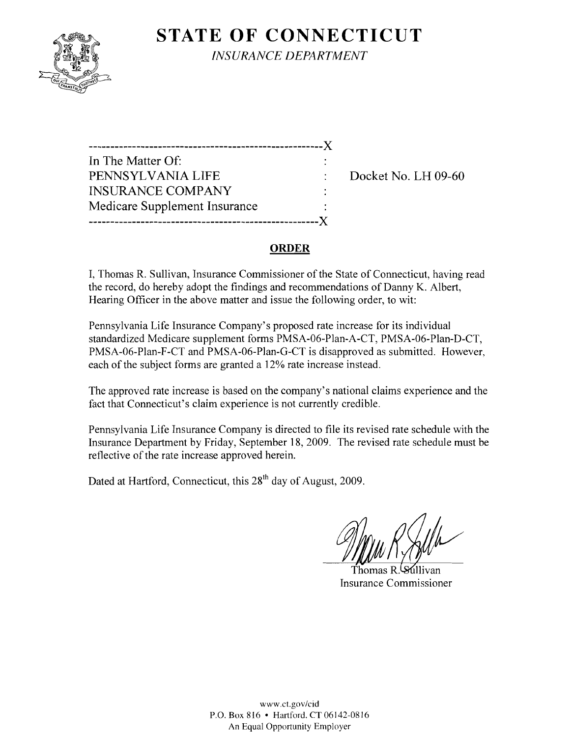

**STATE OF CONNECTICUT** *INSURANCE DEPARTMENT* 

| In The Matter Of:             |  |
|-------------------------------|--|
| PENNSYLVANIA LIFE             |  |
| <b>INSURANCE COMPANY</b>      |  |
| Medicare Supplement Insurance |  |
| ----------------------------  |  |

Docket No. LH 09-60

## **ORDER**

I, Thomas R. Sullivan, Insurance Commissioner of the State of Connecticut, having read the record, do hereby adopt the findings and recommendations of Danny K. Albert, Hearing Officer in the above matter and issue the following order, to wit:

Pennsylvania Life Insurance Company's proposed rate increase for its individual standardized Medicare supplement forms PMSA-06-Plan-A-CT, PMSA-06-Plan-D-CT, PMSA-06-Plan-F-CT and PMSA-06-Plan-G-CT is disapproved as submitted. However, each of the subject forms are granted a 12% rate increase instead.

The approved rate increase is based on the company's national claims experience and the fact that Connecticut's claim experience is not currently credible.

Pennsylvania Life Insurance Company is directed to file its revised rate schedule with the Insurance Department by Friday, September 18, 2009. The revised rate schedule must be reflective of the rate increase approved herein.

Dated at Hartford, Connecticut, this 28<sup>th</sup> day of August, 2009.

Thomas R. Sullivan Insurance Commissioner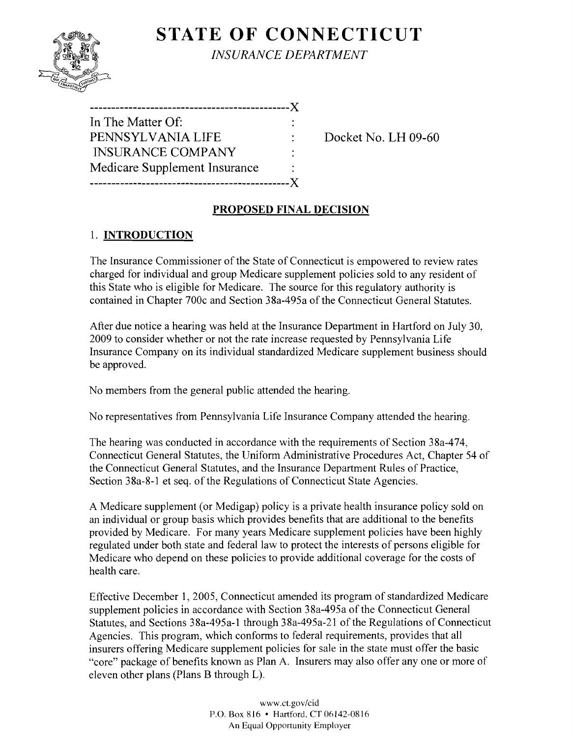# **STATE OF CONNECTICUT** *INSURANCE DEPARTMENT*

| ------------------------      |    |
|-------------------------------|----|
| In The Matter Of:             |    |
| PENNSYLVANIA LIFE             |    |
| <b>INSURANCE COMPANY</b>      |    |
| Medicare Supplement Insurance |    |
| -----------------------       | X. |
|                               |    |

Docket No. LH 09-60

# **PROPOSED FINAL DECISION**

# 1. **INTRODUCTION**

The Insurance Commissioner of the State of Connecticut is empowered to review rates charged for individual and group Medicare supplement policies sold to any resident of this State who is eligible for Medicare. The source for this regulatory authority is contained in Chapter 700c and Section 38a-495a of the Connecticut General Statutes.

After due notice a hearing was held at the Insurance Department in Hartford on July 30, 2009 to consider whether or not the rate increase requested by Pennsylvania Life Insurance Company on its individual standardized Medicare supplement business should be approved.

No members from the general public attended the hearing.

No representatives from Pennsylvania Life Insurance Company attended the hearing.

The hearing was conducted in accordance with the requirements of Section 38a-474, Connecticut General Statutes, the Uniform Administrative Procedures Act, Chapter 54 of the Connecticut General Statutes, and the Insurance Department Rules of Practice, Section 38a-8-1 et seq. of the Regulations of Connecticut State Agencies.

A Medicare supplement (or Medigap) policy is a private health insurance policy sold on an individual or group basis which provides benefits that are additional to the benefits provided by Medicare. For many years Medicare supplement policies have been highly regulated under both state and federal law to protect the interests of persons eligible for Medicare who depend on these policies to provide additional coverage for the costs of health care.

Effective December 1, 2005, Connecticut amended its program of standardized Medicare supplement policies in accordance with Section 38a-495a of the Connecticut General Statutes, and Sections 38a-495a-l through 38a-495a-21 of the Regulations of Connecticut Agencies. This program, which conforms to federal requirements, provides that all insurers offering Medicare supplement policies for sale in the state must offer the basic "core" package of benefits known as Plan A. Insurers may also offer anyone or more of eleven other plans (Plans B through L).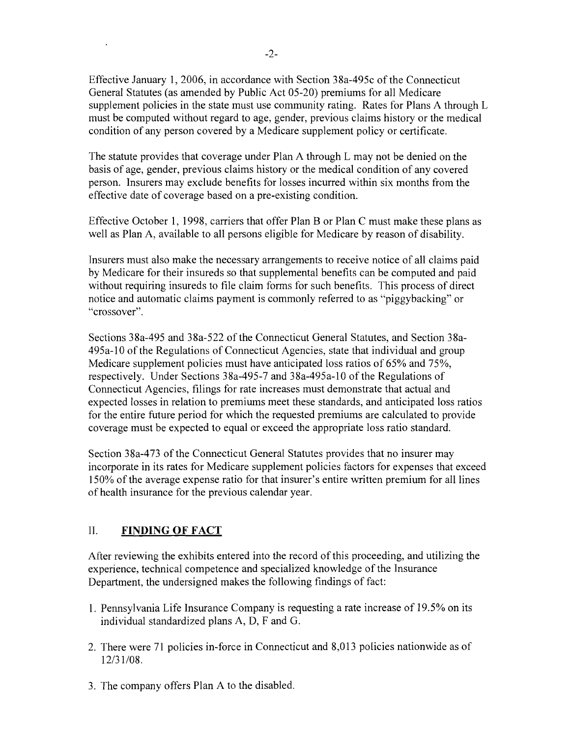Effective January 1,2006, in accordance with Section 38a-495c of the Connecticut General Statutes (as amended by Public Act 05-20) premiums for all Medicare supplement policies in the state must use community rating. Rates for Plans A through L must be computed without regard to age, gender, previous claims history or the medical condition of any person covered by a Medicare supplement policy or certificate.

The statute provides that coverage under Plan A through L may not be denied on the basis of age, gender, previous claims history or the medical condition of any covered person. Insurers may exclude benefits for losses incurred within six months from the effective date of coverage based on a pre-existing condition.

Effective October 1, 1998, carriers that offer Plan B or Plan C must make these plans as well as Plan A, available to all persons eligible for Medicare by reason of disability.

Insurers must also make the necessary arrangements to receive notice of all claims paid by Medicare for their insureds so that supplemental benefits can be computed and paid without requiring insureds to file claim forms for such benefits. This process of direct notice and automatic claims payment is commonly referred to as "piggybacking" or "crossover".

Sections 38a-495 and 38a-522 of the Connecticut General Statutes, and Section 38a-495a-10 of the Regulations of Connecticut Agencies, state that individual and group Medicare supplement policies must have anticipated loss ratios of 65% and 75%, respectively. Under Sections 38a-495-7 and 38a-495a-10 of the Regulations of Connecticut Agencies, filings for rate increases must demonstrate that actual and expected losses in relation to premiums meet these standards, and anticipated loss ratios for the entire future period for which the requested premiums are calculated to provide coverage must be expected to equal or exceed the appropriate loss ratio standard.

Section 38a-473 of the Connecticut General Statutes provides that no insurer may incorporate in its rates for Medicare supplement policies factors for expenses that exceed 150% of the average expense ratio for that insurer's entire written premium for all lines of health insurance for the previous calendar year.

### II. **FINDING OF FACT**

After reviewing the exhibits entered into the record ofthis proceeding, and utilizing the experience, technical competence and specialized knowledge of the Insurance Department, the undersigned makes the following findings of fact:

- 1. Pennsylvania Life Insurance Company is requesting a rate increase of 19.5% on its individual standardized plans A, D, F and G.
- 2. There were 71 policies in-force in Connecticut and 8,013 policies nationwide as of 12/31/08.
- 3. The company offers Plan A to the disabled.